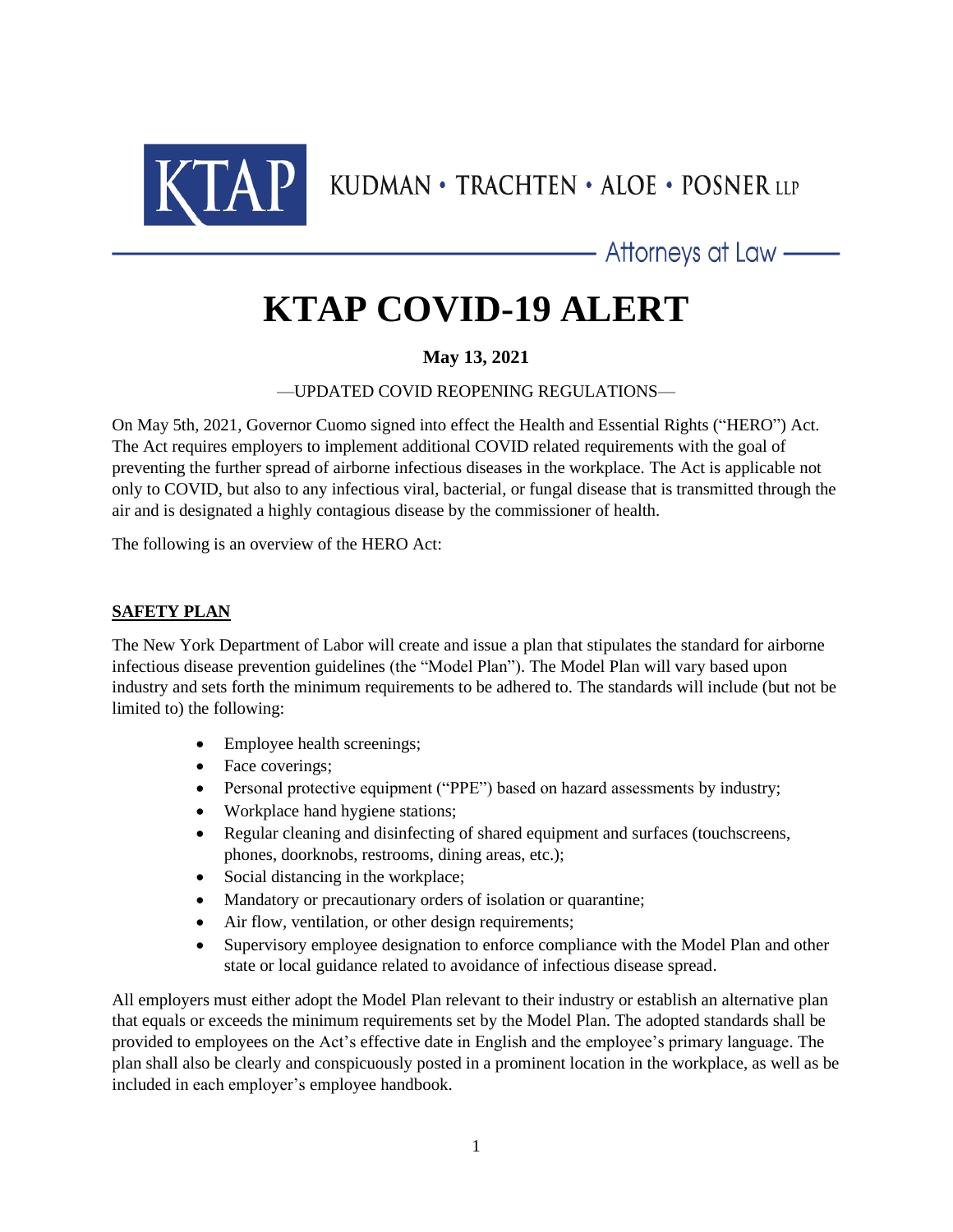

KUDMAN • TRACHTEN • ALOE • POSNER LLP

- Attorneys at Law ——

# **KTAP COVID-19 ALERT**

## **May 13, 2021**

—UPDATED COVID REOPENING REGULATIONS—

On May 5th, 2021, Governor Cuomo signed into effect the Health and Essential Rights ("HERO") Act. The Act requires employers to implement additional COVID related requirements with the goal of preventing the further spread of airborne infectious diseases in the workplace. The Act is applicable not only to COVID, but also to any infectious viral, bacterial, or fungal disease that is transmitted through the air and is designated a highly contagious disease by the commissioner of health.

The following is an overview of the HERO Act:

### **SAFETY PLAN**

The New York Department of Labor will create and issue a plan that stipulates the standard for airborne infectious disease prevention guidelines (the "Model Plan"). The Model Plan will vary based upon industry and sets forth the minimum requirements to be adhered to. The standards will include (but not be limited to) the following:

- Employee health screenings;
- Face coverings;
- Personal protective equipment ("PPE") based on hazard assessments by industry;
- Workplace hand hygiene stations;
- Regular cleaning and disinfecting of shared equipment and surfaces (touchscreens, phones, doorknobs, restrooms, dining areas, etc.);
- Social distancing in the workplace;
- Mandatory or precautionary orders of isolation or quarantine;
- Air flow, ventilation, or other design requirements;
- Supervisory employee designation to enforce compliance with the Model Plan and other state or local guidance related to avoidance of infectious disease spread.

All employers must either adopt the Model Plan relevant to their industry or establish an alternative plan that equals or exceeds the minimum requirements set by the Model Plan. The adopted standards shall be provided to employees on the Act's effective date in English and the employee's primary language. The plan shall also be clearly and conspicuously posted in a prominent location in the workplace, as well as be included in each employer's employee handbook.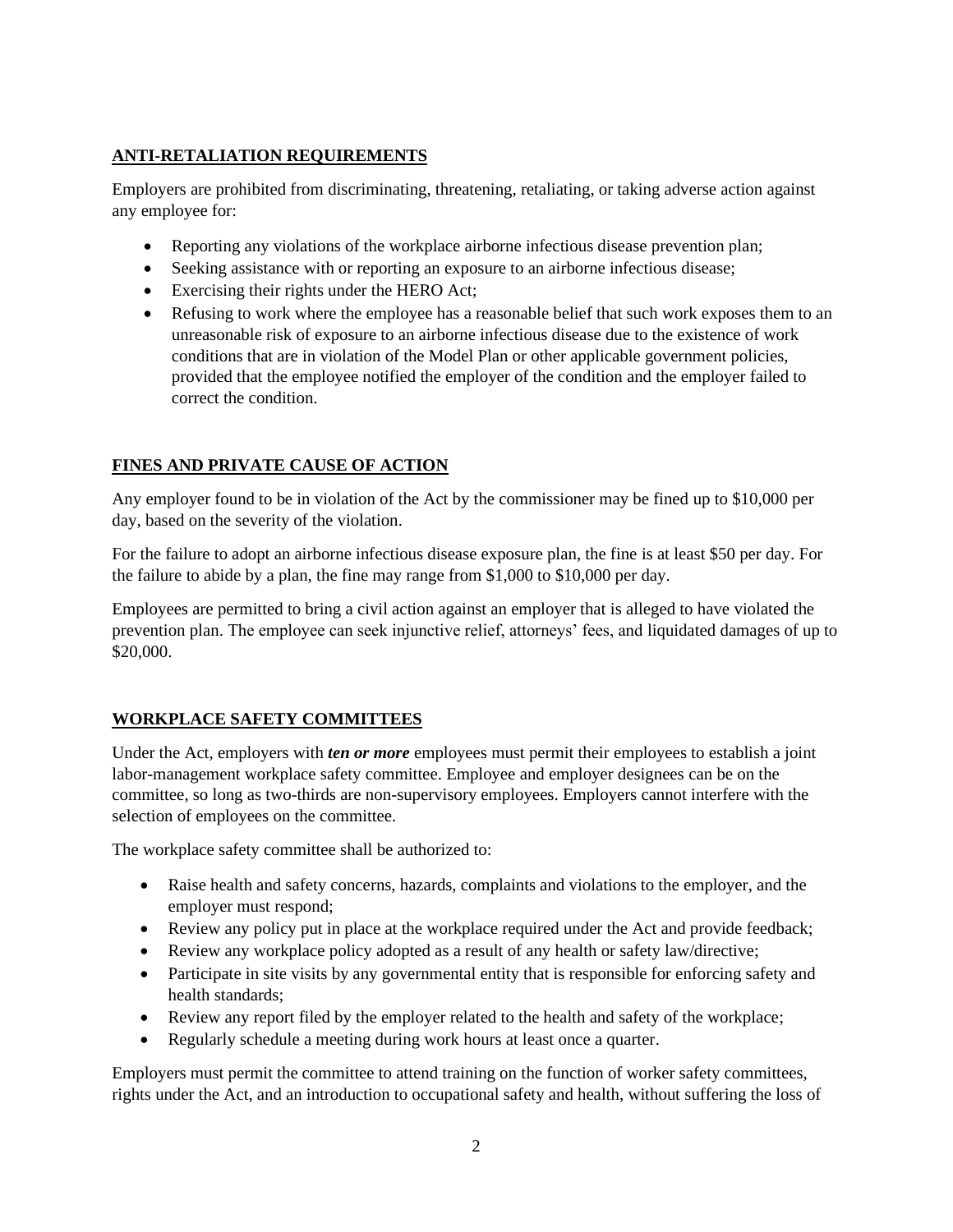#### **ANTI-RETALIATION REQUIREMENTS**

Employers are prohibited from discriminating, threatening, retaliating, or taking adverse action against any employee for:

- Reporting any violations of the workplace airborne infectious disease prevention plan;
- Seeking assistance with or reporting an exposure to an airborne infectious disease;
- Exercising their rights under the HERO Act;
- Refusing to work where the employee has a reasonable belief that such work exposes them to an unreasonable risk of exposure to an airborne infectious disease due to the existence of work conditions that are in violation of the Model Plan or other applicable government policies, provided that the employee notified the employer of the condition and the employer failed to correct the condition.

## **FINES AND PRIVATE CAUSE OF ACTION**

Any employer found to be in violation of the Act by the commissioner may be fined up to \$10,000 per day, based on the severity of the violation.

For the failure to adopt an airborne infectious disease exposure plan, the fine is at least \$50 per day. For the failure to abide by a plan, the fine may range from \$1,000 to \$10,000 per day.

Employees are permitted to bring a civil action against an employer that is alleged to have violated the prevention plan. The employee can seek injunctive relief, attorneys' fees, and liquidated damages of up to \$20,000.

## **WORKPLACE SAFETY COMMITTEES**

Under the Act, employers with *ten or more* employees must permit their employees to establish a joint labor-management workplace safety committee. Employee and employer designees can be on the committee, so long as two-thirds are non-supervisory employees. Employers cannot interfere with the selection of employees on the committee.

The workplace safety committee shall be authorized to:

- Raise health and safety concerns, hazards, complaints and violations to the employer, and the employer must respond;
- Review any policy put in place at the workplace required under the Act and provide feedback;
- Review any workplace policy adopted as a result of any health or safety law/directive;
- Participate in site visits by any governmental entity that is responsible for enforcing safety and health standards;
- Review any report filed by the employer related to the health and safety of the workplace;
- Regularly schedule a meeting during work hours at least once a quarter.

Employers must permit the committee to attend training on the function of worker safety committees, rights under the Act, and an introduction to occupational safety and health, without suffering the loss of